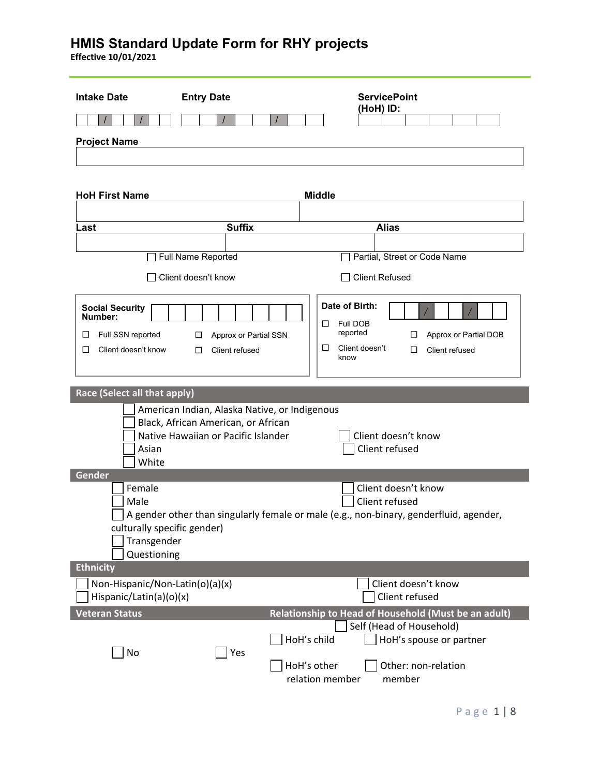| <b>Intake Date</b>                                                          | <b>Entry Date</b>                                                                                                           | <b>ServicePoint</b>                                                                                                                   |
|-----------------------------------------------------------------------------|-----------------------------------------------------------------------------------------------------------------------------|---------------------------------------------------------------------------------------------------------------------------------------|
|                                                                             |                                                                                                                             | (HoH) ID:                                                                                                                             |
| <b>Project Name</b>                                                         |                                                                                                                             |                                                                                                                                       |
|                                                                             |                                                                                                                             |                                                                                                                                       |
| <b>HoH First Name</b>                                                       |                                                                                                                             | <b>Middle</b>                                                                                                                         |
|                                                                             |                                                                                                                             |                                                                                                                                       |
| Last                                                                        | <b>Suffix</b>                                                                                                               | <b>Alias</b>                                                                                                                          |
|                                                                             | Full Name Reported                                                                                                          | Partial, Street or Code Name                                                                                                          |
|                                                                             |                                                                                                                             |                                                                                                                                       |
|                                                                             | Client doesn't know                                                                                                         | <b>Client Refused</b>                                                                                                                 |
| <b>Social Security</b><br>Number:<br>Full SSN reported<br>□                 | Approx or Partial SSN<br>□                                                                                                  | Date of Birth:<br>Full DOB<br>ப<br>reported<br>Approx or Partial DOB<br>$\Box$                                                        |
| Client doesn't know<br>□                                                    | Client refused<br>$\Box$                                                                                                    | Client doesn't<br>$\Box$<br>Client refused<br>□<br>know                                                                               |
| Race (Select all that apply)                                                |                                                                                                                             |                                                                                                                                       |
| Asian<br>White                                                              | American Indian, Alaska Native, or Indigenous<br>Black, African American, or African<br>Native Hawaiian or Pacific Islander | Client doesn't know<br>Client refused                                                                                                 |
| Gender                                                                      |                                                                                                                             |                                                                                                                                       |
| Female<br>Male<br>culturally specific gender)<br>Transgender<br>Questioning |                                                                                                                             | Client doesn't know<br>Client refused<br>A gender other than singularly female or male (e.g., non-binary, genderfluid, agender,       |
| <b>Ethnicity</b>                                                            |                                                                                                                             |                                                                                                                                       |
| Non-Hispanic/Non-Latin(o)(a)(x)<br>Hispanic/Latin(a)(o)(x)                  |                                                                                                                             | Client doesn't know<br>Client refused                                                                                                 |
| <b>Veteran Status</b>                                                       |                                                                                                                             | Relationship to Head of Household (Must be an adult)                                                                                  |
| No                                                                          | Yes                                                                                                                         | Self (Head of Household)<br>HoH's child<br>HoH's spouse or partner<br>HoH's other<br>Other: non-relation<br>relation member<br>member |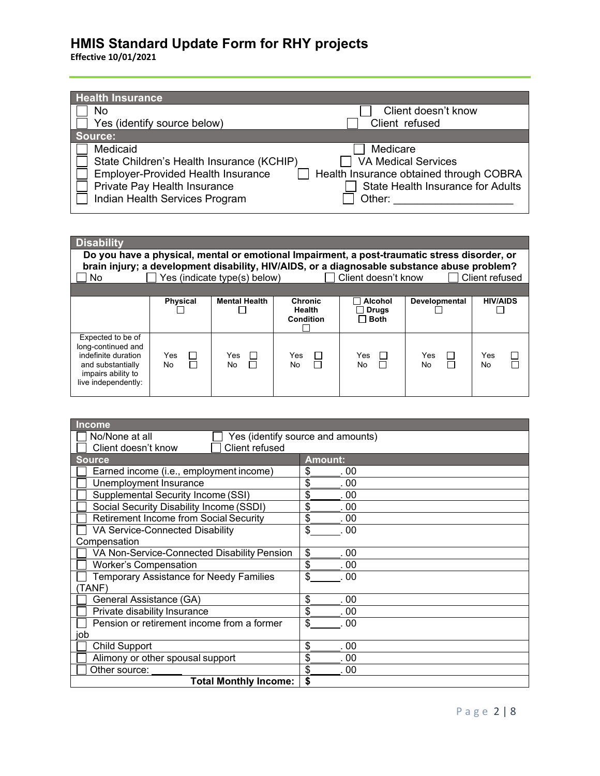| <b>Health Insurance</b>                   |                                          |
|-------------------------------------------|------------------------------------------|
| No                                        | Client doesn't know                      |
| Yes (identify source below)               | Client refused                           |
| Source:                                   |                                          |
| Medicaid                                  | Medicare                                 |
| State Children's Health Insurance (KCHIP) | <b>VA Medical Services</b>               |
| <b>Employer-Provided Health Insurance</b> | Health Insurance obtained through COBRA  |
| Private Pay Health Insurance              | <b>State Health Insurance for Adults</b> |
| Indian Health Services Program            | Other:                                   |

| <b>Disability</b>                                                                                                                |                                                                                                                                                                                             |                              |                                       |                                               |                                 |                 |  |
|----------------------------------------------------------------------------------------------------------------------------------|---------------------------------------------------------------------------------------------------------------------------------------------------------------------------------------------|------------------------------|---------------------------------------|-----------------------------------------------|---------------------------------|-----------------|--|
|                                                                                                                                  | Do you have a physical, mental or emotional Impairment, a post-traumatic stress disorder, or<br>brain injury; a development disability, HIV/AIDS, or a diagnosable substance abuse problem? |                              |                                       |                                               |                                 |                 |  |
| No.                                                                                                                              |                                                                                                                                                                                             | Yes (indicate type(s) below) |                                       | Client doesn't know                           |                                 | Client refused  |  |
|                                                                                                                                  |                                                                                                                                                                                             |                              |                                       |                                               |                                 |                 |  |
|                                                                                                                                  | <b>Physical</b>                                                                                                                                                                             | <b>Mental Health</b>         | <b>Chronic</b><br>Health<br>Condition | <b>Alcohol</b><br><b>Drugs</b><br><b>Both</b> | <b>Developmental</b>            | <b>HIV/AIDS</b> |  |
| Expected to be of<br>long-continued and<br>indefinite duration<br>and substantially<br>impairs ability to<br>live independently: | Yes<br>$\Box$<br>П<br>No                                                                                                                                                                    | Yes<br>No.                   | Yes<br>No.<br>П                       | Yes<br>No                                     | Yes<br>$\mathsf{L}$<br>П<br>No. | Yes<br>No.      |  |

| <b>Income</b>                                       |                |  |  |  |
|-----------------------------------------------------|----------------|--|--|--|
| No/None at all<br>Yes (identify source and amounts) |                |  |  |  |
| Client refused<br>Client doesn't know               |                |  |  |  |
| <b>Source</b>                                       | <b>Amount:</b> |  |  |  |
| Earned income (i.e., employment income)             | \$<br>. 00     |  |  |  |
| Unemployment Insurance                              | \$<br>. 00     |  |  |  |
| Supplemental Security Income (SSI)                  | \$<br>. 00     |  |  |  |
| Social Security Disability Income (SSDI)            | \$<br>00       |  |  |  |
| <b>Retirement Income from Social Security</b>       | \$<br>.00      |  |  |  |
| VA Service-Connected Disability                     | \$<br>.00      |  |  |  |
| Compensation                                        |                |  |  |  |
| VA Non-Service-Connected Disability Pension         | \$<br>.00      |  |  |  |
| <b>Worker's Compensation</b>                        | \$<br>.00      |  |  |  |
| <b>Temporary Assistance for Needy Families</b>      | \$<br>. 00     |  |  |  |
| TANF)                                               |                |  |  |  |
| General Assistance (GA)                             | \$<br>00       |  |  |  |
| Private disability Insurance                        | \$<br>00       |  |  |  |
| Pension or retirement income from a former          | \$<br>.00      |  |  |  |
| job                                                 |                |  |  |  |
| <b>Child Support</b>                                | \$<br>. 00     |  |  |  |
| Alimony or other spousal support                    | \$<br>. 00     |  |  |  |
| Other source:                                       | \$<br>. 00     |  |  |  |
| <b>Total Monthly Income:</b>                        | \$             |  |  |  |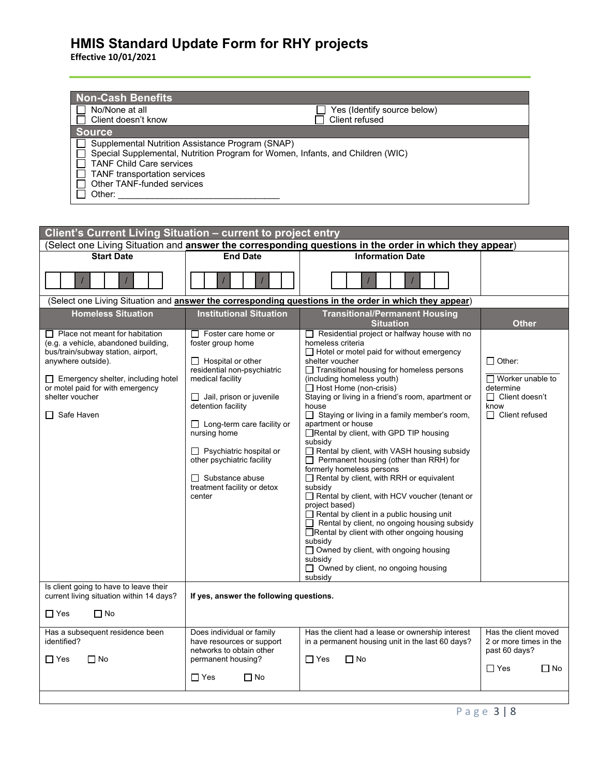| <b>Non-Cash Benefits</b>                         |                                                                                |
|--------------------------------------------------|--------------------------------------------------------------------------------|
| No/None at all                                   | Yes (Identify source below)                                                    |
| Client doesn't know                              | Client refused                                                                 |
| Source                                           |                                                                                |
| Supplemental Nutrition Assistance Program (SNAP) |                                                                                |
|                                                  | Special Supplemental, Nutrition Program for Women, Infants, and Children (WIC) |
| <b>TANF Child Care services</b>                  |                                                                                |
| TANF transportation services                     |                                                                                |
| Other TANF-funded services                       |                                                                                |
| Other:                                           |                                                                                |

| Client's Current Living Situation - current to project entry                                                                                                                                                                                                     |                                                                                                                                                                                                                                                                                                                                                                                 |                                                                                                                                                                                                                                                                                                                                                                                                                                                                                                                                                                                                                                                                                                                                                                                                                                                                                                                                                                                                            |                                                                                                                 |  |
|------------------------------------------------------------------------------------------------------------------------------------------------------------------------------------------------------------------------------------------------------------------|---------------------------------------------------------------------------------------------------------------------------------------------------------------------------------------------------------------------------------------------------------------------------------------------------------------------------------------------------------------------------------|------------------------------------------------------------------------------------------------------------------------------------------------------------------------------------------------------------------------------------------------------------------------------------------------------------------------------------------------------------------------------------------------------------------------------------------------------------------------------------------------------------------------------------------------------------------------------------------------------------------------------------------------------------------------------------------------------------------------------------------------------------------------------------------------------------------------------------------------------------------------------------------------------------------------------------------------------------------------------------------------------------|-----------------------------------------------------------------------------------------------------------------|--|
| (Select one Living Situation and answer the corresponding questions in the order in which they appear)                                                                                                                                                           |                                                                                                                                                                                                                                                                                                                                                                                 |                                                                                                                                                                                                                                                                                                                                                                                                                                                                                                                                                                                                                                                                                                                                                                                                                                                                                                                                                                                                            |                                                                                                                 |  |
| <b>Start Date</b>                                                                                                                                                                                                                                                | <b>End Date</b>                                                                                                                                                                                                                                                                                                                                                                 | <b>Information Date</b>                                                                                                                                                                                                                                                                                                                                                                                                                                                                                                                                                                                                                                                                                                                                                                                                                                                                                                                                                                                    |                                                                                                                 |  |
|                                                                                                                                                                                                                                                                  |                                                                                                                                                                                                                                                                                                                                                                                 |                                                                                                                                                                                                                                                                                                                                                                                                                                                                                                                                                                                                                                                                                                                                                                                                                                                                                                                                                                                                            |                                                                                                                 |  |
|                                                                                                                                                                                                                                                                  |                                                                                                                                                                                                                                                                                                                                                                                 | (Select one Living Situation and answer the corresponding questions in the order in which they appear)                                                                                                                                                                                                                                                                                                                                                                                                                                                                                                                                                                                                                                                                                                                                                                                                                                                                                                     |                                                                                                                 |  |
| <b>Homeless Situation</b>                                                                                                                                                                                                                                        | <b>Institutional Situation</b>                                                                                                                                                                                                                                                                                                                                                  | <b>Transitional/Permanent Housing</b>                                                                                                                                                                                                                                                                                                                                                                                                                                                                                                                                                                                                                                                                                                                                                                                                                                                                                                                                                                      |                                                                                                                 |  |
|                                                                                                                                                                                                                                                                  |                                                                                                                                                                                                                                                                                                                                                                                 | <b>Situation</b>                                                                                                                                                                                                                                                                                                                                                                                                                                                                                                                                                                                                                                                                                                                                                                                                                                                                                                                                                                                           | <b>Other</b>                                                                                                    |  |
| $\Box$ Place not meant for habitation<br>(e.g. a vehicle, abandoned building,<br>bus/train/subway station, airport,<br>anywhere outside).<br>$\Box$ Emergency shelter, including hotel<br>or motel paid for with emergency<br>shelter voucher<br>Safe Haven<br>П | $\Box$ Foster care home or<br>foster group home<br>$\Box$ Hospital or other<br>residential non-psychiatric<br>medical facility<br>$\Box$ Jail, prison or juvenile<br>detention facility<br>$\Box$ Long-term care facility or<br>nursing home<br>$\Box$ Psychiatric hospital or<br>other psychiatric facility<br>$\Box$ Substance abuse<br>treatment facility or detox<br>center | Residential project or halfway house with no<br>homeless criteria<br>$\Box$ Hotel or motel paid for without emergency<br>shelter voucher<br>□ Transitional housing for homeless persons<br>(including homeless youth)<br>$\Box$ Host Home (non-crisis)<br>Staying or living in a friend's room, apartment or<br>house<br>□ Staying or living in a family member's room,<br>apartment or house<br>□Rental by client, with GPD TIP housing<br>subsidy<br>Rental by client, with VASH housing subsidy<br>$\Box$ Permanent housing (other than RRH) for<br>formerly homeless persons<br>$\Box$ Rental by client, with RRH or equivalent<br>subsidy<br>Rental by client, with HCV voucher (tenant or<br>project based)<br>$\Box$ Rental by client in a public housing unit<br>$\Box$ Rental by client, no ongoing housing subsidy<br>Rental by client with other ongoing housing<br>subsidy<br>$\Box$ Owned by client, with ongoing housing<br>subsidy<br>$\Box$ Owned by client, no ongoing housing<br>subsidy | $\Box$ Other:<br>$\Box$ Worker unable to<br>determine<br>$\Box$ Client doesn't<br>know<br>$\Box$ Client refused |  |
| Is client going to have to leave their<br>current living situation within 14 days?                                                                                                                                                                               | If yes, answer the following questions.                                                                                                                                                                                                                                                                                                                                         |                                                                                                                                                                                                                                                                                                                                                                                                                                                                                                                                                                                                                                                                                                                                                                                                                                                                                                                                                                                                            |                                                                                                                 |  |
| $\Box$ Yes<br>$\Box$ No                                                                                                                                                                                                                                          |                                                                                                                                                                                                                                                                                                                                                                                 |                                                                                                                                                                                                                                                                                                                                                                                                                                                                                                                                                                                                                                                                                                                                                                                                                                                                                                                                                                                                            |                                                                                                                 |  |
| Has a subsequent residence been<br>identified?<br>$\Box$ No<br>$\Box$ Yes                                                                                                                                                                                        | Does individual or family<br>have resources or support<br>networks to obtain other<br>permanent housing?<br>$\Box$ Yes<br>$\Box$ No                                                                                                                                                                                                                                             | Has the client had a lease or ownership interest<br>in a permanent housing unit in the last 60 days?<br>$\Box$ Yes<br>$\Box$ No                                                                                                                                                                                                                                                                                                                                                                                                                                                                                                                                                                                                                                                                                                                                                                                                                                                                            | Has the client moved<br>2 or more times in the<br>past 60 days?<br>$\Box$ Yes<br>$\Box$ No                      |  |
|                                                                                                                                                                                                                                                                  |                                                                                                                                                                                                                                                                                                                                                                                 |                                                                                                                                                                                                                                                                                                                                                                                                                                                                                                                                                                                                                                                                                                                                                                                                                                                                                                                                                                                                            |                                                                                                                 |  |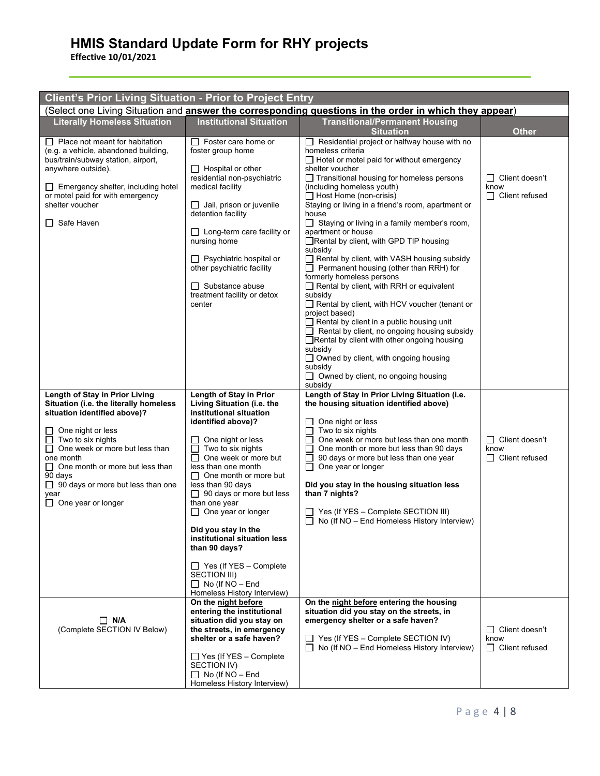| <b>Client's Prior Living Situation - Prior to Project Entry</b>                                                                                                                                                                                                                                                                  |                                                                                                                                                                                                                                                                                                                                                                                                                                                                                                                                |                                                                                                                                                                                                                                                                                                                                                                                                                                                                                                                                                                                                                                                                                                                                                                                                                                                                                                                                                                                                          |                                                        |  |  |
|----------------------------------------------------------------------------------------------------------------------------------------------------------------------------------------------------------------------------------------------------------------------------------------------------------------------------------|--------------------------------------------------------------------------------------------------------------------------------------------------------------------------------------------------------------------------------------------------------------------------------------------------------------------------------------------------------------------------------------------------------------------------------------------------------------------------------------------------------------------------------|----------------------------------------------------------------------------------------------------------------------------------------------------------------------------------------------------------------------------------------------------------------------------------------------------------------------------------------------------------------------------------------------------------------------------------------------------------------------------------------------------------------------------------------------------------------------------------------------------------------------------------------------------------------------------------------------------------------------------------------------------------------------------------------------------------------------------------------------------------------------------------------------------------------------------------------------------------------------------------------------------------|--------------------------------------------------------|--|--|
| (Select one Living Situation and answer the corresponding questions in the order in which they appear)                                                                                                                                                                                                                           |                                                                                                                                                                                                                                                                                                                                                                                                                                                                                                                                |                                                                                                                                                                                                                                                                                                                                                                                                                                                                                                                                                                                                                                                                                                                                                                                                                                                                                                                                                                                                          |                                                        |  |  |
| <b>Literally Homeless Situation</b>                                                                                                                                                                                                                                                                                              | <b>Institutional Situation</b>                                                                                                                                                                                                                                                                                                                                                                                                                                                                                                 | <b>Transitional/Permanent Housing</b><br><b>Situation</b>                                                                                                                                                                                                                                                                                                                                                                                                                                                                                                                                                                                                                                                                                                                                                                                                                                                                                                                                                | <b>Other</b>                                           |  |  |
| Place not meant for habitation<br>(e.g. a vehicle, abandoned building,<br>bus/train/subway station, airport,<br>anywhere outside).<br>$\Box$ Emergency shelter, including hotel<br>or motel paid for with emergency<br>shelter voucher<br>Safe Haven                                                                             | $\Box$ Foster care home or<br>foster group home<br>$\Box$ Hospital or other<br>residential non-psychiatric<br>medical facility<br>$\Box$ Jail, prison or juvenile<br>detention facility<br>$\Box$ Long-term care facility or<br>nursing home<br>$\Box$ Psychiatric hospital or<br>other psychiatric facility<br>$\Box$ Substance abuse<br>treatment facility or detox<br>center                                                                                                                                                | Residential project or halfway house with no<br>homeless criteria<br>$\Box$ Hotel or motel paid for without emergency<br>shelter voucher<br>□ Transitional housing for homeless persons<br>(including homeless youth)<br>$\Box$ Host Home (non-crisis)<br>Staying or living in a friend's room, apartment or<br>house<br>$\Box$ Staying or living in a family member's room,<br>apartment or house<br>□Rental by client, with GPD TIP housing<br>subsidy<br>Rental by client, with VASH housing subsidy<br>$\Box$ Permanent housing (other than RRH) for<br>formerly homeless persons<br>$\Box$ Rental by client, with RRH or equivalent<br>subsidy<br>Rental by client, with HCV voucher (tenant or<br>project based)<br>$\Box$ Rental by client in a public housing unit<br>Rental by client, no ongoing housing subsidy<br>Rental by client with other ongoing housing<br>subsidy<br>$\Box$ Owned by client, with ongoing housing<br>subsidy<br>$\Box$ Owned by client, no ongoing housing<br>subsidy | $\Box$ Client doesn't<br>know<br>$\Box$ Client refused |  |  |
| Length of Stay in Prior Living<br>Situation (i.e. the literally homeless<br>situation identified above)?<br>One night or less<br>Two to six nights<br>One week or more but less than<br>one month<br>$\Box$ One month or more but less than<br>90 days<br>$\Box$ 90 days or more but less than one<br>year<br>One year or longer | Length of Stay in Prior<br>Living Situation (i.e. the<br>institutional situation<br>identified above)?<br>One night or less<br>Two to six nights<br>$\Box$ One week or more but<br>less than one month<br>$\Box$ One month or more but<br>less than 90 days<br>$\Box$ 90 days or more but less<br>than one year<br>$\Box$ One year or longer<br>Did you stay in the<br>institutional situation less<br>than 90 days?<br>$\Box$ Yes (If YES - Complete<br>SECTION III)<br>$\Box$ No (If NO - End<br>Homeless History Interview) | Length of Stay in Prior Living Situation (i.e.<br>the housing situation identified above)<br>One night or less<br>Two to six nights<br>$\Box$<br>One week or more but less than one month<br>One month or more but less than 90 days<br>90 days or more but less than one year<br>One year or longer<br>Did you stay in the housing situation less<br>than 7 nights?<br>$\Box$ Yes (If YES - Complete SECTION III)<br>No (If NO - End Homeless History Interview)                                                                                                                                                                                                                                                                                                                                                                                                                                                                                                                                        | $\Box$ Client doesn't<br>know<br>$\Box$ Client refused |  |  |
| $\Box$ N/A<br>(Complete SECTION IV Below)                                                                                                                                                                                                                                                                                        | On the night before<br>entering the institutional<br>situation did you stay on<br>the streets, in emergency<br>shelter or a safe haven?<br>$\Box$ Yes (If YES - Complete<br>SECTION IV)<br>$\Box$ No (If NO – End<br>Homeless History Interview)                                                                                                                                                                                                                                                                               | On the night before entering the housing<br>situation did you stay on the streets, in<br>emergency shelter or a safe haven?<br>$\Box$ Yes (If YES – Complete SECTION IV)<br>$\Box$ No (If NO – End Homeless History Interview)                                                                                                                                                                                                                                                                                                                                                                                                                                                                                                                                                                                                                                                                                                                                                                           | $\Box$ Client doesn't<br>know<br>$\Box$ Client refused |  |  |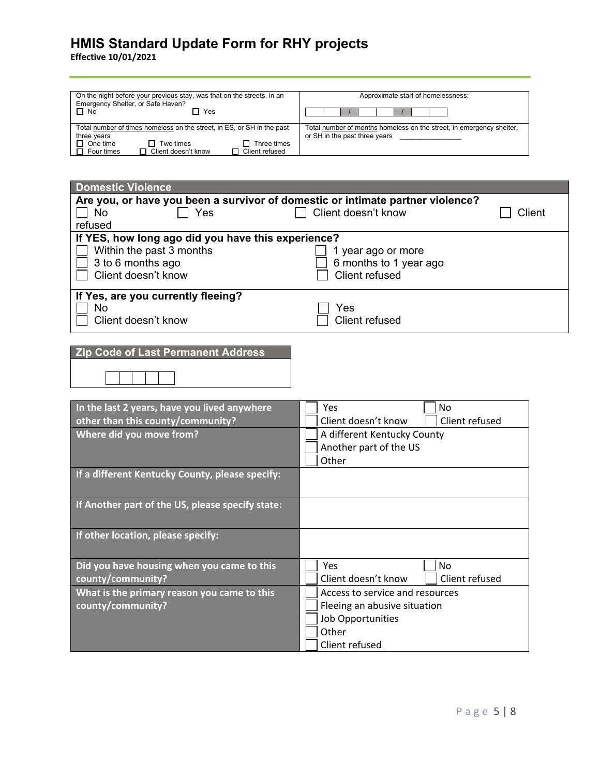| On the night before your previous stay, was that on the streets, in an<br>Emergency Shelter, or Safe Haven?<br>$\Box$ No<br>Yes                                                             | Approximate start of homelessness:                                                                    |  |  |
|---------------------------------------------------------------------------------------------------------------------------------------------------------------------------------------------|-------------------------------------------------------------------------------------------------------|--|--|
| Total number of times homeless on the street, in ES, or SH in the past<br>three years<br>Three times<br>$\Box$ One time<br>Two times<br>Client doesn't know<br>Client refused<br>Four times | Total number of months homeless on the street, in emergency shelter,<br>or SH in the past three years |  |  |

| <b>Domestic Violence</b>                                                       |                                       |  |  |  |
|--------------------------------------------------------------------------------|---------------------------------------|--|--|--|
| Are you, or have you been a survivor of domestic or intimate partner violence? |                                       |  |  |  |
| <b>No</b><br>Yes                                                               | Client doesn't know<br>Client         |  |  |  |
| refused                                                                        |                                       |  |  |  |
| If YES, how long ago did you have this experience?                             |                                       |  |  |  |
| Within the past 3 months                                                       | 1 year ago or more                    |  |  |  |
| 3 to 6 months ago                                                              | 6 months to 1 year ago                |  |  |  |
| Client doesn't know                                                            | <b>Client refused</b>                 |  |  |  |
|                                                                                |                                       |  |  |  |
| If Yes, are you currently fleeing?                                             |                                       |  |  |  |
| No                                                                             | Yes                                   |  |  |  |
| Client doesn't know                                                            | <b>Client refused</b>                 |  |  |  |
|                                                                                |                                       |  |  |  |
|                                                                                |                                       |  |  |  |
| <b>Zip Code of Last Permanent Address</b>                                      |                                       |  |  |  |
|                                                                                |                                       |  |  |  |
|                                                                                |                                       |  |  |  |
|                                                                                |                                       |  |  |  |
| In the last 2 years, have you lived anywhere                                   | Yes<br>No                             |  |  |  |
| other than this county/community?                                              | Client refused<br>Client doesn't know |  |  |  |
| Where did you move from?                                                       | A different Kentucky County           |  |  |  |
|                                                                                | Another part of the US                |  |  |  |
|                                                                                | Other                                 |  |  |  |
|                                                                                |                                       |  |  |  |
| If a different Kentucky County, please specify:                                |                                       |  |  |  |
|                                                                                |                                       |  |  |  |
| If Another part of the US, please specify state:                               |                                       |  |  |  |
|                                                                                |                                       |  |  |  |
|                                                                                |                                       |  |  |  |
| If other location, please specify:                                             |                                       |  |  |  |
|                                                                                |                                       |  |  |  |
| Did you have housing when you came to this                                     | Yes<br><b>No</b>                      |  |  |  |
| county/community?                                                              | Client refused<br>Client doesn't know |  |  |  |
| What is the primary reason you came to this                                    | Access to service and resources       |  |  |  |
| county/community?                                                              | Fleeing an abusive situation          |  |  |  |
|                                                                                | Job Opportunities                     |  |  |  |
| Other                                                                          |                                       |  |  |  |
|                                                                                |                                       |  |  |  |
|                                                                                | Client refused                        |  |  |  |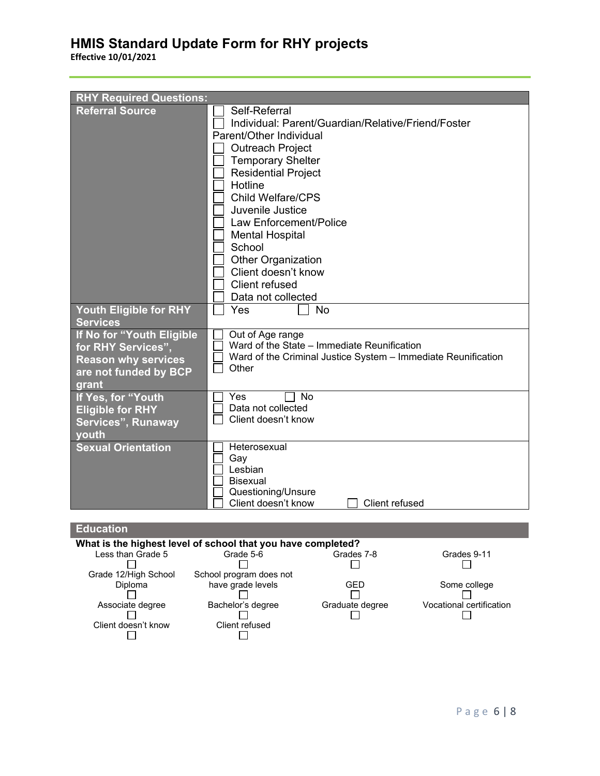**Effective 10/01/2021**

| <b>RHY Required Questions:</b>                                                                                  |                                                                                                                                                                                                                                                                                                                                                                                                   |
|-----------------------------------------------------------------------------------------------------------------|---------------------------------------------------------------------------------------------------------------------------------------------------------------------------------------------------------------------------------------------------------------------------------------------------------------------------------------------------------------------------------------------------|
| <b>Referral Source</b>                                                                                          | Self-Referral<br>Individual: Parent/Guardian/Relative/Friend/Foster<br>Parent/Other Individual<br><b>Outreach Project</b><br><b>Temporary Shelter</b><br><b>Residential Project</b><br>Hotline<br>Child Welfare/CPS<br>Juvenile Justice<br>Law Enforcement/Police<br><b>Mental Hospital</b><br>School<br><b>Other Organization</b><br>Client doesn't know<br>Client refused<br>Data not collected |
| Youth Eligible for RHY<br><b>Services</b>                                                                       | Yes<br>No                                                                                                                                                                                                                                                                                                                                                                                         |
| If No for "Youth Eligible<br>for RHY Services",<br><b>Reason why services</b><br>are not funded by BCP<br>grant | Out of Age range<br>Ward of the State - Immediate Reunification<br>Ward of the Criminal Justice System - Immediate Reunification<br>Other                                                                                                                                                                                                                                                         |
| If Yes, for "Youth<br><b>Eligible for RHY</b><br>Services", Runaway<br>youth                                    | <b>No</b><br>Yes<br>Data not collected<br>Client doesn't know                                                                                                                                                                                                                                                                                                                                     |
| <b>Sexual Orientation</b>                                                                                       | Heterosexual<br>Gay<br>Lesbian<br><b>Bisexual</b><br>Questioning/Unsure<br>Client doesn't know<br>Client refused                                                                                                                                                                                                                                                                                  |

#### **Education What is the highest level of school that you have completed?**<br>Less than Grade 5 Grade 5-6 Grades 7-8 Less than Grade 5 Grade 5-6 Grades 7-8 Grades 9-11 Grade 12/High School School program does not  $\Box$ Diploma have grade levels GED Some college<br>
□ GED Some college  $\Box$  $\Box$ Associate degree Bachelor's degree Graduate degree Vocational certification<br>  $\square$ Client doesn't know Client refused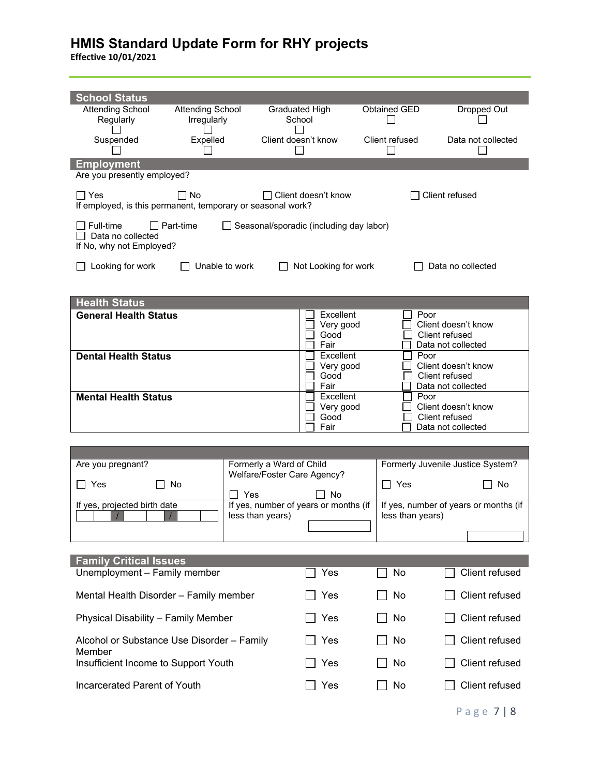| <b>School Status</b><br><b>Attending School</b>                           | <b>Attending School</b> | <b>Graduated High</b>                                     | Obtained GED             |                        | Dropped Out                               |  |  |
|---------------------------------------------------------------------------|-------------------------|-----------------------------------------------------------|--------------------------|------------------------|-------------------------------------------|--|--|
| Regularly                                                                 | Irregularly             | School                                                    |                          |                        |                                           |  |  |
| Suspended                                                                 | Expelled                | Client doesn't know                                       | Client refused           |                        | Data not collected                        |  |  |
| <b>Employment</b><br>Are you presently employed?                          |                         |                                                           |                          |                        |                                           |  |  |
| $\Box$ Yes<br>If employed, is this permanent, temporary or seasonal work? | $\Box$ No               | $\Box$ Client doesn't know                                |                          | Client refused         |                                           |  |  |
| Full-time<br>Data no collected<br>If No, why not Employed?                | Part-time               | Seasonal/sporadic (including day labor)                   |                          |                        |                                           |  |  |
| Looking for work                                                          | Unable to work          | Not Looking for work                                      |                          |                        | Data no collected                         |  |  |
|                                                                           |                         |                                                           |                          |                        |                                           |  |  |
| <b>Health Status</b><br><b>General Health Status</b>                      |                         |                                                           | Excellent                | Poor                   |                                           |  |  |
| <b>Dental Health Status</b>                                               |                         | Good<br>Fair                                              | Very good<br>Excellent   | Client refused<br>Poor | Client doesn't know<br>Data not collected |  |  |
|                                                                           |                         | Good<br>Fair                                              | Very good                | Client refused         | Client doesn't know<br>Data not collected |  |  |
| <b>Mental Health Status</b>                                               |                         | Good<br>Fair                                              | Excellent<br>Very good   | Poor<br>Client refused | Client doesn't know<br>Data not collected |  |  |
|                                                                           |                         |                                                           |                          |                        |                                           |  |  |
| Are you pregnant?                                                         |                         | Formerly a Ward of Child<br>Welfare/Foster Care Agency?   |                          |                        | Formerly Juvenile Justice System?         |  |  |
| Yes<br>$\blacksquare$                                                     | No<br>Yes               | No                                                        | $\overline{\phantom{a}}$ | Yes                    | No                                        |  |  |
| If yes, projected birth date                                              |                         | If yes, number of years or months (if<br>less than years) |                          | less than years)       | If yes, number of years or months (if     |  |  |
|                                                                           |                         |                                                           |                          |                        |                                           |  |  |
| <b>Family Critical Issues</b>                                             |                         |                                                           |                          |                        |                                           |  |  |
| Unemployment - Family member                                              |                         | Yes                                                       |                          | No                     | Client refused                            |  |  |
| Mental Health Disorder - Family member                                    |                         | Yes                                                       |                          | No                     | Client refused                            |  |  |
| Physical Disability - Family Member                                       |                         |                                                           | Yes<br>$\sim$            | No                     | Client refused                            |  |  |
| Alcohol or Substance Use Disorder - Family<br>Member                      |                         |                                                           | Yes                      | No                     | Client refused                            |  |  |
| Insufficient Income to Support Youth                                      |                         | Yes                                                       |                          | No                     | Client refused                            |  |  |
| Incarcerated Parent of Youth                                              |                         | Yes                                                       |                          | No                     | Client refused                            |  |  |